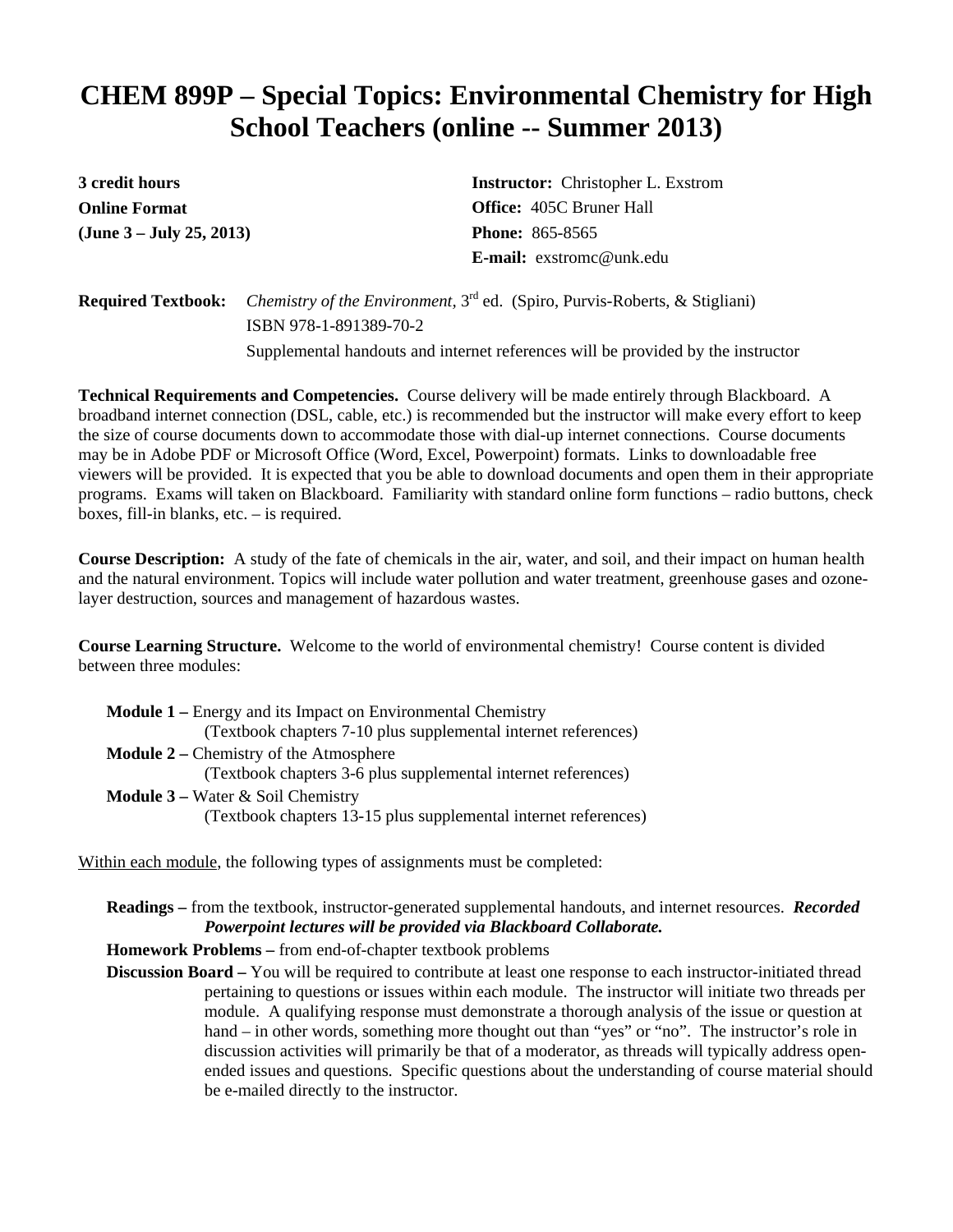## **CHEM 899P – Special Topics: Environmental Chemistry for High School Teachers (online -- Summer 2013)**

**3 credit hours Online Format (June 3 – July 25, 2013)** **Instructor:** Christopher L. Exstrom **Office:** 405C Bruner Hall **Phone:** 865-8565 **E-mail:** exstromc@unk.edu

**Required Textbook:** *Chemistry of the Environment,* 3rd ed. (Spiro, Purvis-Roberts, & Stigliani) ISBN 978-1-891389-70-2

Supplemental handouts and internet references will be provided by the instructor

**Technical Requirements and Competencies.** Course delivery will be made entirely through Blackboard. A broadband internet connection (DSL, cable, etc.) is recommended but the instructor will make every effort to keep the size of course documents down to accommodate those with dial-up internet connections. Course documents may be in Adobe PDF or Microsoft Office (Word, Excel, Powerpoint) formats. Links to downloadable free viewers will be provided. It is expected that you be able to download documents and open them in their appropriate programs. Exams will taken on Blackboard. Familiarity with standard online form functions – radio buttons, check boxes, fill-in blanks, etc. – is required.

**Course Description:** A study of the fate of chemicals in the air, water, and soil, and their impact on human health and the natural environment. Topics will include water pollution and water treatment, greenhouse gases and ozonelayer destruction, sources and management of hazardous wastes.

**Course Learning Structure.** Welcome to the world of environmental chemistry! Course content is divided between three modules:

| <b>Module 1 – Energy and its Impact on Environmental Chemistry</b> |  |  |
|--------------------------------------------------------------------|--|--|
| (Textbook chapters 7-10 plus supplemental internet references)     |  |  |
| <b>Module 2 – Chemistry of the Atmosphere</b>                      |  |  |
| (Textbook chapters 3-6 plus supplemental internet references)      |  |  |
| <b>Module 3</b> – Water $\&$ Soil Chemistry                        |  |  |
| (Textbook chapters 13-15 plus supplemental internet references)    |  |  |

Within each module, the following types of assignments must be completed:

**Readings –** from the textbook, instructor-generated supplemental handouts, and internet resources. *Recorded Powerpoint lectures will be provided via Blackboard Collaborate.*

**Homework Problems –** from end-of-chapter textbook problems

**Discussion Board** – You will be required to contribute at least one response to each instructor-initiated thread pertaining to questions or issues within each module. The instructor will initiate two threads per module. A qualifying response must demonstrate a thorough analysis of the issue or question at hand – in other words, something more thought out than "yes" or "no". The instructor's role in discussion activities will primarily be that of a moderator, as threads will typically address openended issues and questions. Specific questions about the understanding of course material should be e-mailed directly to the instructor.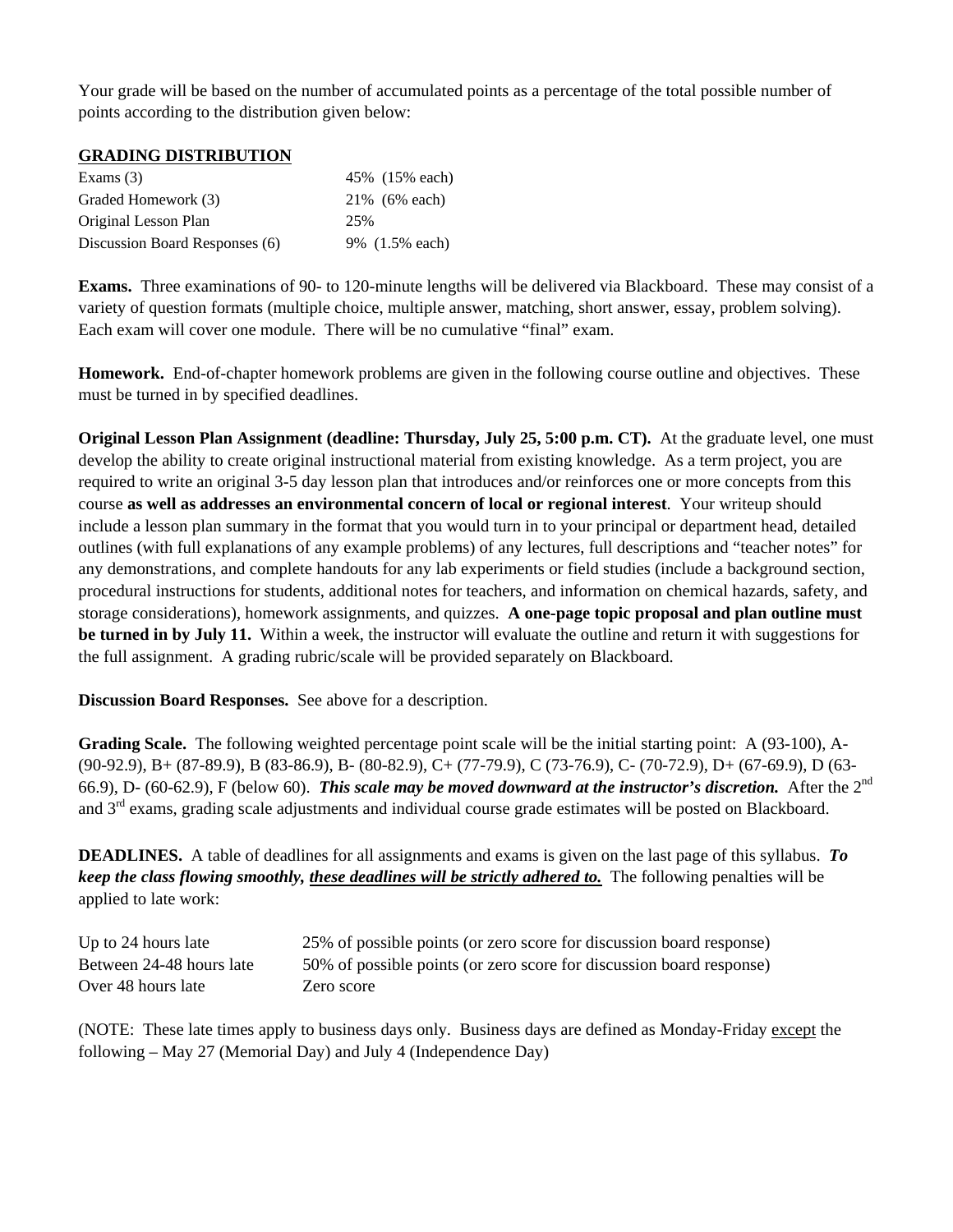Your grade will be based on the number of accumulated points as a percentage of the total possible number of points according to the distribution given below:

#### **GRADING DISTRIBUTION**

| Exams $(3)$                    | 45% (15% each) |
|--------------------------------|----------------|
| Graded Homework (3)            | 21% (6% each)  |
| Original Lesson Plan           | 25%            |
| Discussion Board Responses (6) | 9% (1.5% each) |

**Exams.** Three examinations of 90- to 120-minute lengths will be delivered via Blackboard. These may consist of a variety of question formats (multiple choice, multiple answer, matching, short answer, essay, problem solving). Each exam will cover one module. There will be no cumulative "final" exam.

**Homework.** End-of-chapter homework problems are given in the following course outline and objectives. These must be turned in by specified deadlines.

**Original Lesson Plan Assignment (deadline: Thursday, July 25, 5:00 p.m. CT).** At the graduate level, one must develop the ability to create original instructional material from existing knowledge. As a term project, you are required to write an original 3-5 day lesson plan that introduces and/or reinforces one or more concepts from this course **as well as addresses an environmental concern of local or regional interest**. Your writeup should include a lesson plan summary in the format that you would turn in to your principal or department head, detailed outlines (with full explanations of any example problems) of any lectures, full descriptions and "teacher notes" for any demonstrations, and complete handouts for any lab experiments or field studies (include a background section, procedural instructions for students, additional notes for teachers, and information on chemical hazards, safety, and storage considerations), homework assignments, and quizzes. **A one-page topic proposal and plan outline must be turned in by July 11.** Within a week, the instructor will evaluate the outline and return it with suggestions for the full assignment. A grading rubric/scale will be provided separately on Blackboard.

**Discussion Board Responses.** See above for a description.

**Grading Scale.** The following weighted percentage point scale will be the initial starting point: A (93-100), A- (90-92.9), B+ (87-89.9), B (83-86.9), B- (80-82.9), C+ (77-79.9), C (73-76.9), C- (70-72.9), D+ (67-69.9), D (63- 66.9), D- (60-62.9), F (below 60). *This scale may be moved downward at the instructor's discretion.* After the 2nd and  $3<sup>rd</sup>$  exams, grading scale adjustments and individual course grade estimates will be posted on Blackboard.

**DEADLINES.** A table of deadlines for all assignments and exams is given on the last page of this syllabus. *To keep the class flowing smoothly, these deadlines will be strictly adhered to.* The following penalties will be applied to late work:

| Up to 24 hours late      | 25% of possible points (or zero score for discussion board response) |
|--------------------------|----------------------------------------------------------------------|
| Between 24-48 hours late | 50% of possible points (or zero score for discussion board response) |
| Over 48 hours late       | Zero score                                                           |

(NOTE: These late times apply to business days only. Business days are defined as Monday-Friday except the following – May 27 (Memorial Day) and July 4 (Independence Day)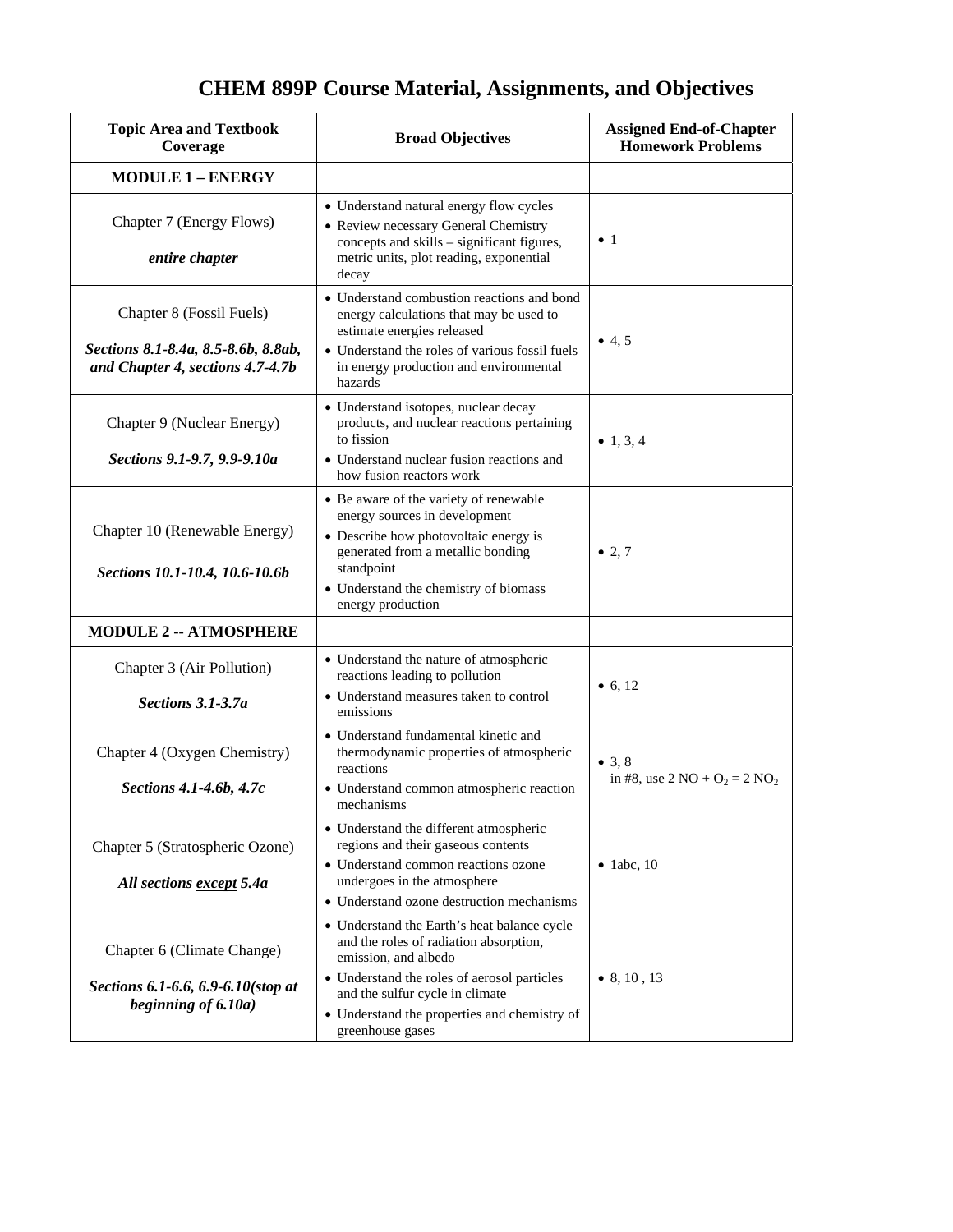| <b>Topic Area and Textbook</b><br>Coverage                                                          | <b>Broad Objectives</b>                                                                                                                                                                                                                                             | <b>Assigned End-of-Chapter</b><br><b>Homework Problems</b>          |
|-----------------------------------------------------------------------------------------------------|---------------------------------------------------------------------------------------------------------------------------------------------------------------------------------------------------------------------------------------------------------------------|---------------------------------------------------------------------|
| <b>MODULE 1 - ENERGY</b>                                                                            |                                                                                                                                                                                                                                                                     |                                                                     |
| Chapter 7 (Energy Flows)<br>entire chapter                                                          | • Understand natural energy flow cycles<br>• Review necessary General Chemistry<br>concepts and skills - significant figures,<br>metric units, plot reading, exponential<br>decay                                                                                   | $\bullet$ 1                                                         |
| Chapter 8 (Fossil Fuels)<br>Sections 8.1-8.4a, 8.5-8.6b, 8.8ab,<br>and Chapter 4, sections 4.7-4.7b | • Understand combustion reactions and bond<br>energy calculations that may be used to<br>estimate energies released<br>• Understand the roles of various fossil fuels<br>in energy production and environmental<br>hazards                                          | • 4, 5                                                              |
| Chapter 9 (Nuclear Energy)<br>Sections 9.1-9.7, 9.9-9.10a                                           | · Understand isotopes, nuclear decay<br>products, and nuclear reactions pertaining<br>to fission<br>• Understand nuclear fusion reactions and<br>how fusion reactors work                                                                                           | • 1, 3, 4                                                           |
| Chapter 10 (Renewable Energy)<br>Sections 10.1-10.4, 10.6-10.6b                                     | • Be aware of the variety of renewable<br>energy sources in development<br>• Describe how photovoltaic energy is<br>generated from a metallic bonding<br>standpoint<br>• Understand the chemistry of biomass<br>energy production                                   | • 2,7                                                               |
| <b>MODULE 2 -- ATMOSPHERE</b>                                                                       |                                                                                                                                                                                                                                                                     |                                                                     |
| Chapter 3 (Air Pollution)<br>Sections 3.1-3.7a                                                      | • Understand the nature of atmospheric<br>reactions leading to pollution<br>• Understand measures taken to control<br>emissions                                                                                                                                     | • 6, 12                                                             |
| Chapter 4 (Oxygen Chemistry)<br>Sections 4.1-4.6b, 4.7c                                             | • Understand fundamental kinetic and<br>thermodynamic properties of atmospheric<br>reactions<br>• Understand common atmospheric reaction<br>mechanisms                                                                                                              | • $3, 8$<br>in #8, use $2 \text{ NO} + \text{O}_2 = 2 \text{ NO}_2$ |
| Chapter 5 (Stratospheric Ozone)<br>All sections except 5.4a                                         | • Understand the different atmospheric<br>regions and their gaseous contents<br>• Understand common reactions ozone<br>undergoes in the atmosphere<br>• Understand ozone destruction mechanisms                                                                     | $\bullet$ 1abc, 10                                                  |
| Chapter 6 (Climate Change)<br>Sections 6.1-6.6, 6.9-6.10(stop at<br>beginning of 6.10a)             | • Understand the Earth's heat balance cycle<br>and the roles of radiation absorption,<br>emission, and albedo<br>• Understand the roles of aerosol particles<br>and the sulfur cycle in climate<br>• Understand the properties and chemistry of<br>greenhouse gases | $\bullet$ 8, 10, 13                                                 |

### **CHEM 899P Course Material, Assignments, and Objectives**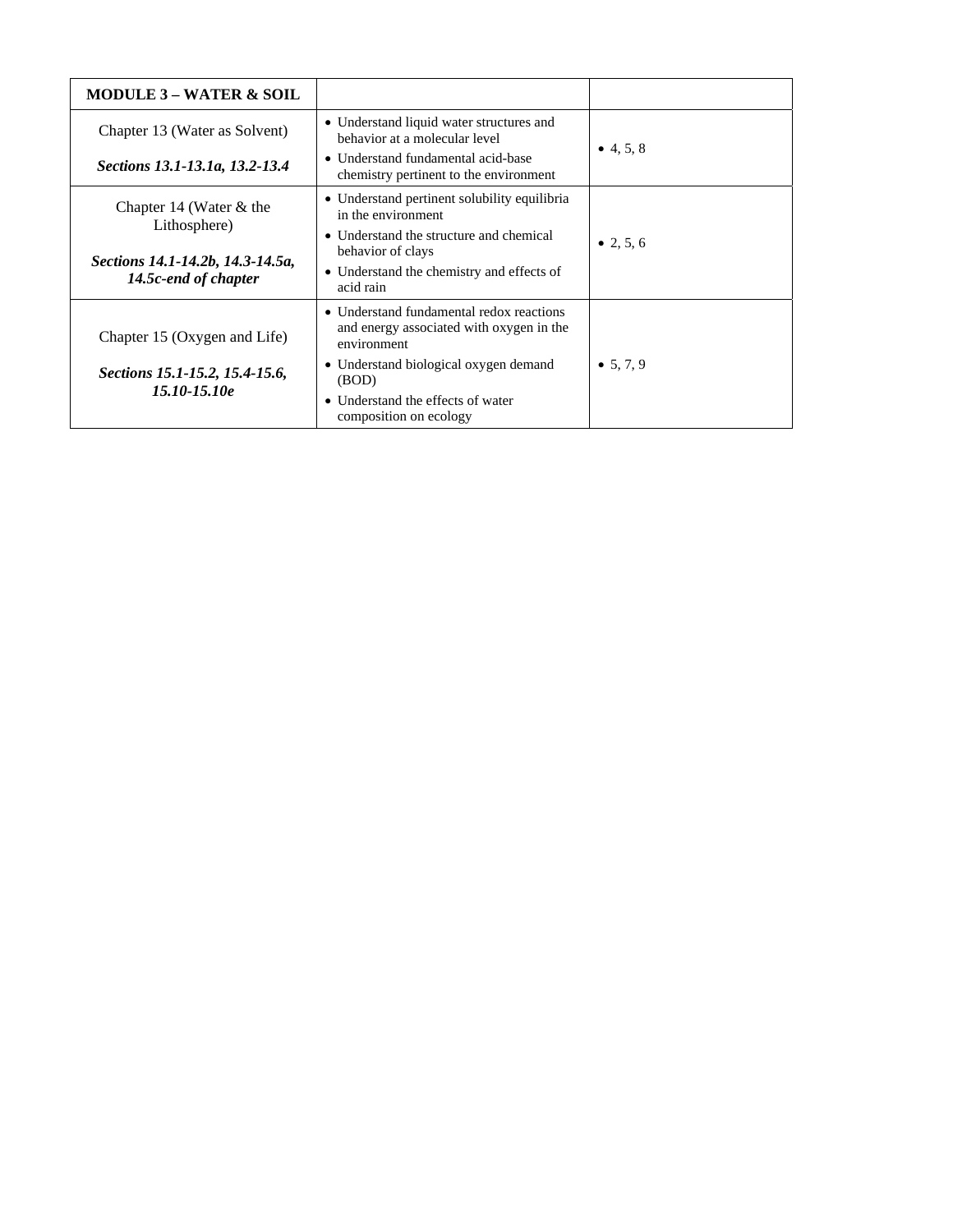| <b>MODULE 3 – WATER &amp; SOIL</b>                       |                                                                                                     |                   |
|----------------------------------------------------------|-----------------------------------------------------------------------------------------------------|-------------------|
| Chapter 13 (Water as Solvent)                            | • Understand liquid water structures and<br>behavior at a molecular level                           | $\bullet$ 4, 5, 8 |
| Sections 13.1-13.1a, 13.2-13.4                           | • Understand fundamental acid-base<br>chemistry pertinent to the environment                        |                   |
| Chapter 14 (Water $&$ the                                | • Understand pertinent solubility equilibria<br>in the environment                                  |                   |
| Lithosphere)                                             | • Understand the structure and chemical<br>behavior of clays                                        | • 2, 5, 6         |
| Sections 14.1-14.2b, 14.3-14.5a,<br>14.5c-end of chapter | • Understand the chemistry and effects of<br>acid rain                                              |                   |
| Chapter 15 (Oxygen and Life)                             | • Understand fundamental redox reactions<br>and energy associated with oxygen in the<br>environment |                   |
| Sections 15.1-15.2, 15.4-15.6,                           | • Understand biological oxygen demand<br>(BOD)                                                      | • 5.7.9           |
| $15.10 - 15.10e$                                         | • Understand the effects of water<br>composition on ecology                                         |                   |